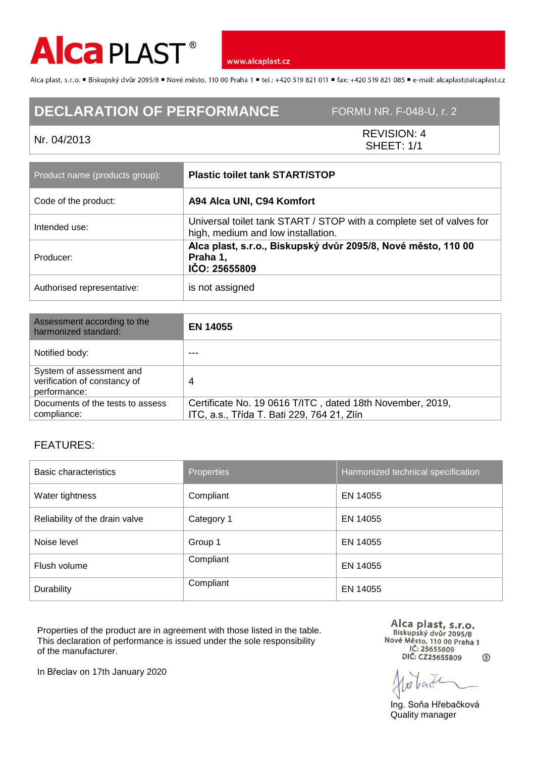

www.alcaplast.cz

Alca plast, s.r.o. "Biskupský dvůr 2095/8 "Nové město, 110 00 Praha 1 "tel.: +420 519 821 011 "fax: +420 519 821 085 " e-mail: alcaplast@alcaplast.cz

## **DECLARATION OF PERFORMANCE** FORMU NR. F-048-U, r. 2

Nr. 04/2013 REVISION: 4 SHEET: 1/1

| Product name (products group): | <b>Plastic toilet tank START/STOP</b>                                                                      |
|--------------------------------|------------------------------------------------------------------------------------------------------------|
| Code of the product:           | A94 Alca UNI, C94 Komfort                                                                                  |
| Intended use:                  | Universal toilet tank START / STOP with a complete set of valves for<br>high, medium and low installation. |
| Producer:                      | Alca plast, s.r.o., Biskupský dvůr 2095/8, Nové město, 110 00<br>Praha 1,<br>IČO: 25655809                 |
| Authorised representative:     | is not assigned                                                                                            |

| Assessment according to the<br>harmonized standard:                      | <b>EN 14055</b>                                                                                         |
|--------------------------------------------------------------------------|---------------------------------------------------------------------------------------------------------|
| Notified body:                                                           |                                                                                                         |
| System of assessment and<br>verification of constancy of<br>performance: | 4                                                                                                       |
| Documents of the tests to assess<br>compliance:                          | Certificate No. 19 0616 T/ITC, dated 18th November, 2019,<br>ITC, a.s., Třída T. Bati 229, 764 21, Zlín |

## FEATURES:

| Basic characteristics          | <b>Properties</b> | Harmonized technical specification |
|--------------------------------|-------------------|------------------------------------|
| Water tightness                | Compliant         | EN 14055                           |
| Reliability of the drain valve | Category 1        | EN 14055                           |
| Noise level                    | Group 1           | EN 14055                           |
| Flush volume                   | Compliant         | EN 14055                           |
| Durability                     | Compliant         | EN 14055                           |

Properties of the product are in agreement with those listed in the table. This declaration of performance is issued under the sole responsibility of the manufacturer.

Alca plast, s.r.o.<br>Biskupský dvůr 2095/8<br>Nové Město, 110 00 Praha 1 IČ: 25655809 DIČ: CZ25655809  $\circ$ 

Ing. Soňa Hřebačková Quality manager

In Břeclav on 17th January 2020